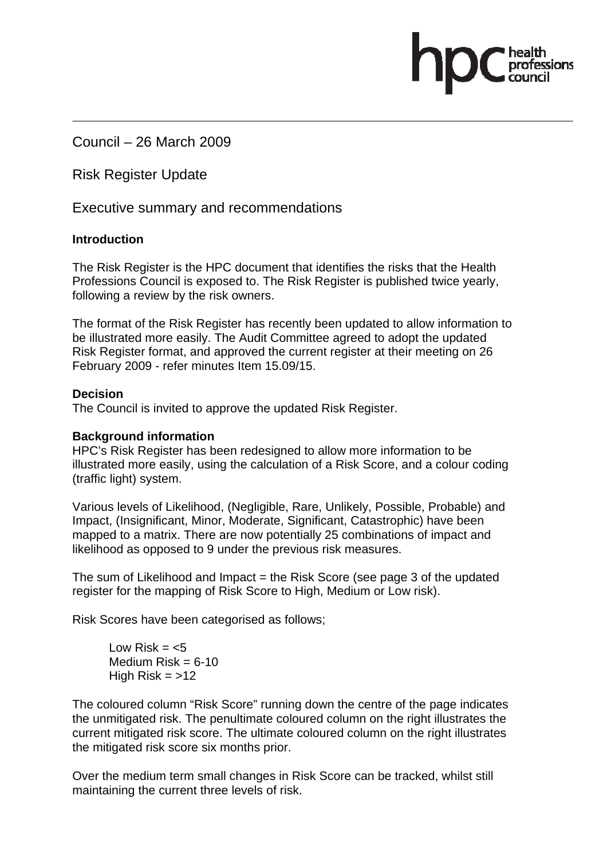Council – 26 March 2009

Risk Register Update

Executive summary and recommendations

## **Introduction**

The Risk Register is the HPC document that identifies the risks that the Health Professions Council is exposed to. The Risk Register is published twice yearly, following a review by the risk owners.

The format of the Risk Register has recently been updated to allow information to be illustrated more easily. The Audit Committee agreed to adopt the updated Risk Register format, and approved the current register at their meeting on 26 February 2009 - refer minutes Item 15.09/15.

## **Decision**

The Council is invited to approve the updated Risk Register.

## **Background information**

HPC's Risk Register has been redesigned to allow more information to be illustrated more easily, using the calculation of a Risk Score, and a colour coding (traffic light) system.

Various levels of Likelihood, (Negligible, Rare, Unlikely, Possible, Probable) and Impact, (Insignificant, Minor, Moderate, Significant, Catastrophic) have been mapped to a matrix. There are now potentially 25 combinations of impact and likelihood as opposed to 9 under the previous risk measures.

The sum of Likelihood and Impact = the Risk Score (see page 3 of the updated register for the mapping of Risk Score to High, Medium or Low risk).

Risk Scores have been categorised as follows;

 $l$  ow Risk =  $<$ 5 Medium  $Risk = 6-10$ High Risk  $=$  >12

The coloured column "Risk Score" running down the centre of the page indicates the unmitigated risk. The penultimate coloured column on the right illustrates the current mitigated risk score. The ultimate coloured column on the right illustrates the mitigated risk score six months prior.

Over the medium term small changes in Risk Score can be tracked, whilst still maintaining the current three levels of risk.